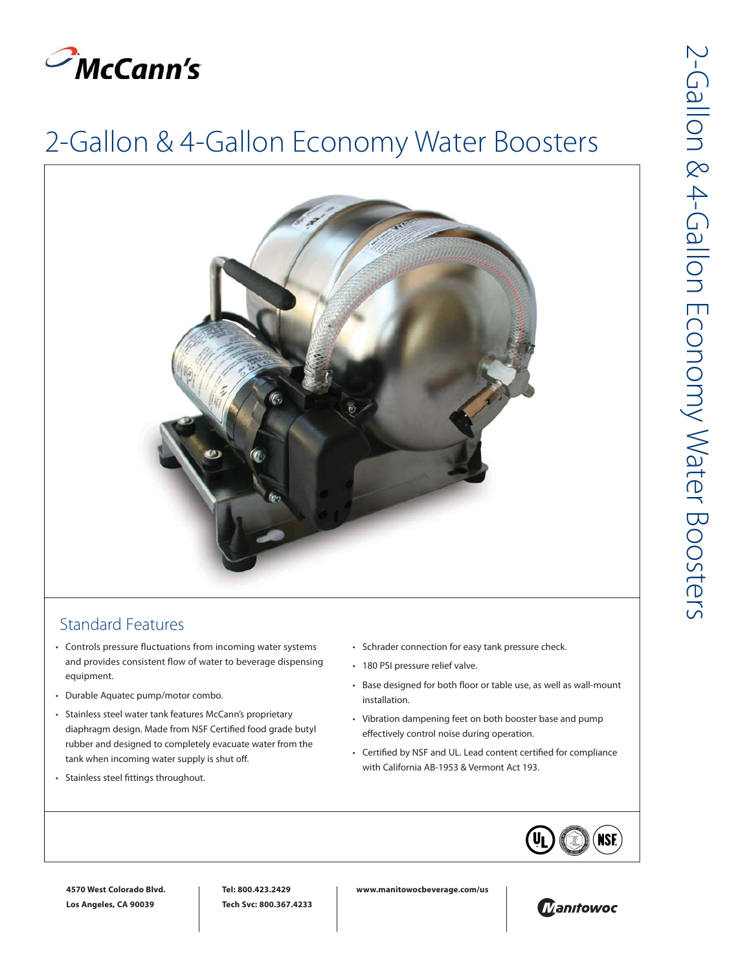

# 2-Gallon & 4-Gallon Economy Water Boosters



### Standard Features

- Controls pressure fluctuations from incoming water systems and provides consistent flow of water to beverage dispensing equipment.
- Durable Aquatec pump/motor combo.
- Stainless steel water tank features McCann's proprietary diaphragm design. Made from NSF Certified food grade butyl rubber and designed to completely evacuate water from the tank when incoming water supply is shut off.
- Stainless steel fittings throughout.
- Schrader connection for easy tank pressure check.
- 180 PSI pressure relief valve.
- Base designed for both floor or table use, as well as wall-mount installation.
- Vibration dampening feet on both booster base and pump effectively control noise during operation.
- Certified by NSF and UL. Lead content certified for compliance with California AB-1953 & Vermont Act 193.



**4570 West Colorado Blvd. Los Angeles, CA 90039**

**Tel: 800.423.2429 Tech Svc: 800.367.4233** **www.manitowocbeverage.com/us**